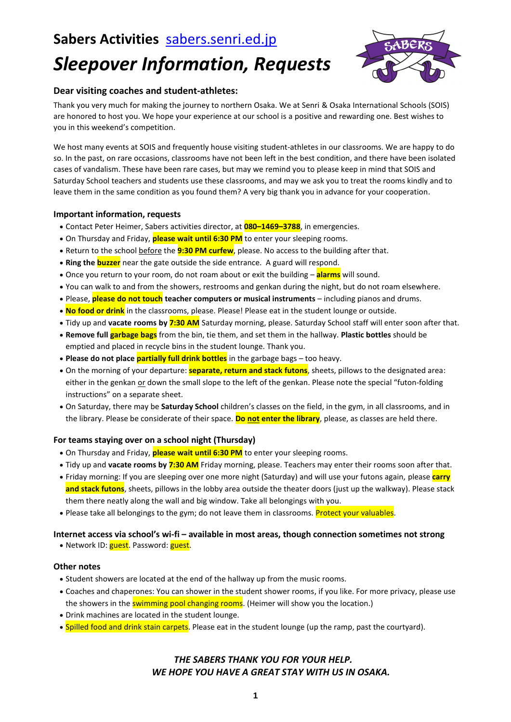## **Sabers Activities** [sabers.senri.ed.jp](http://sabers.senri.ed.jp/)

# *Sleepover Information, Requests*



#### **Dear visiting coaches and student-athletes:**

Thank you very much for making the journey to northern Osaka. We at Senri & Osaka International Schools (SOIS) are honored to host you. We hope your experience at our school is a positive and rewarding one. Best wishes to you in this weekend's competition.

We host many events at SOIS and frequently house visiting student-athletes in our classrooms. We are happy to do so. In the past, on rare occasions, classrooms have not been left in the best condition, and there have been isolated cases of vandalism. These have been rare cases, but may we remind you to please keep in mind that SOIS and Saturday School teachers and students use these classrooms, and may we ask you to treat the rooms kindly and to leave them in the same condition as you found them? A very big thank you in advance for your cooperation.

#### **Important information, requests**

- Contact Peter Heimer, Sabers activities director, at **080–1469–3788**, in emergencies.
- On Thursday and Friday, **please wait until 6:30 PM** to enter your sleeping rooms.
- Return to the school before the **9:30 PM curfew**, please. No access to the building after that.
- **Ring the buzzer** near the gate outside the side entrance. A guard will respond.
- Once you return to your room, do not roam about or exit the building **alarms** will sound.
- You can walk to and from the showers, restrooms and genkan during the night, but do not roam elsewhere.
- Please, **please do not touch teacher computers or musical instruments** including pianos and drums.
- **No food or drink** in the classrooms, please. Please! Please eat in the student lounge or outside.
- Tidy up and **vacate rooms by 7:30 AM** Saturday morning, please. Saturday School staff will enter soon after that.
- **Remove full garbage bags** from the bin, tie them, and set them in the hallway. **Plastic bottles** should be emptied and placed in recycle bins in the student lounge. Thank you.
- **Please do not place partially full drink bottles** in the garbage bags too heavy.
- On the morning of your departure: **separate, return and stack futons**, sheets, pillows to the designated area: either in the genkan or down the small slope to the left of the genkan. Please note the special "futon-folding instructions" on a separate sheet.
- On Saturday, there may be **Saturday School** children's classes on the field, in the gym, in all classrooms, and in the library. Please be considerate of their space. **Do not enter the library**, please, as classes are held there.

#### **For teams staying over on a school night (Thursday)**

- On Thursday and Friday, **please wait until 6:30 PM** to enter your sleeping rooms.
- Tidy up and **vacate rooms by 7:30 AM** Friday morning, please. Teachers may enter their rooms soon after that.
- Friday morning: If you are sleeping over one more night (Saturday) and will use your futons again, please **carry and stack futons**, sheets, pillows in the lobby area outside the theater doors (just up the walkway). Please stack them there neatly along the wall and big window. Take all belongings with you.
- Please take all belongings to the gym; do not leave them in classrooms. Protect your valuables.

#### **Internet access via school's wi-fi – available in most areas, though connection sometimes not strong**

• Network ID: guest. Password: guest.

#### **Other notes**

- Student showers are located at the end of the hallway up from the music rooms.
- Coaches and chaperones: You can shower in the student shower rooms, if you like. For more privacy, please use the showers in the **swimming pool changing rooms**. (Heimer will show you the location.)
- Drink machines are located in the student lounge.
- Spilled food and drink stain carpets. Please eat in the student lounge (up the ramp, past the courtyard).

#### *THE SABERS THANK YOU FOR YOUR HELP. WE HOPE YOU HAVE A GREAT STAY WITH US IN OSAKA.*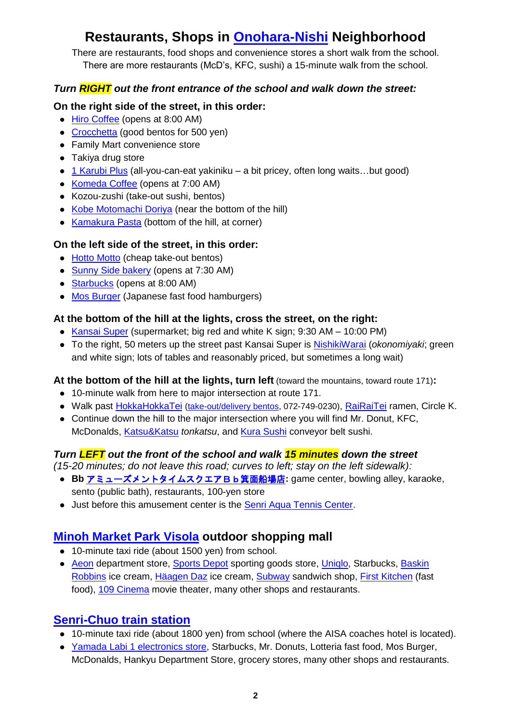## **Restaurants, Shops in [Onohara-Nishi](http://maps.google.com/maps?pq=onohara-nishi&hl=en&sugexp=cqn&cp=6&gs_id=1u&xhr=t&qe=Sm5viWtX&qesig=L3URuhiznvjsla7Ofu1eOA&pkc=AFgZ2tl8qKMyBpcdqJfOGGEX-t4xAIJbfjzyauGYWnw1tbgEfsRvJYACs6gVst8IQjVCKRWrz_2zXtrEb43LkiOvkrq-gGaaSg&qscrl=1&nord=1&rlz=1T4ADRA_enUS439US440&gs_upl=&bav=on.2,or.r_gc.r_pw.r_cp.,cf.osb&ion=1&biw=1366&bih=641&bs=1&wrapid=tljp1323558625193036&um=1&ie=UTF-8&q=%E5%B0%8F%E9%87%8E%E5%8E%9F%E8%A5%BF&fb=1&hq=%E5%B0%8F%E9%87%8E%E5%8E%9F%E8%A5%BF) Neighborhood**

There are restaurants, food shops and convenience stores a short walk from the school. There are more restaurants (McD's, KFC, sushi) a 15-minute walk from the school.

#### *Turn RIGHT out the front entrance of the school and walk down the street:*

#### **On the right side of the street, in this order:**

- [Hiro Coffee](http://www.hirocoffee.co.jp/shop/shop_mino.html) (opens at 8:00 AM)
- [Crocchetta](http://tabelog.com/osaka/A2706/A270603/27063427/) (good bentos for 500 yen)
- Family Mart convenience store
- Takiya drug store
- [1 Karubi Plus](http://www.1dining.co.jp/one-karubi-plus/restaurant/minoonohara.html) (all-you-can-eat yakiniku a bit pricey, often long waits...but good)
- [Komeda Coffee](http://www.komeda.co.jp/shoplist/osaka/osaka/TO0401.html?search=1) (opens at 7:00 AM)
- Kozou-zushi (take-out sushi, bentos)
- [Kobe Motomachi Doriya](http://r.tabelog.com/osaka/A2706/A270604/27019837/) (near the bottom of the hill)
- [Kamakura Pasta](http://r.gnavi.co.jp/kady546/) (bottom of the hill, at corner)

### **On the left side of the street, in this order:**

- [Hotto Motto](http://sasp.mapion.co.jp/b/hottomotto/attr/?kencode=27&.x=57&.y=11) (cheap take-out bentos)
- [Sunny Side bakery](http://www.sunny-side.co.jp/shopinfo/shop_onohara) (opens at 7:30 AM)
- [Starbucks](http://www.starbucks.co.jp/store/search/detail.php?id=904) (opens at 8:00 AM)
- [Mos Burger](http://en.wikipedia.org/wiki/MOS_Burger) (Japanese fast food hamburgers)

#### **At the bottom of the hill at the lights, cross the street, on the right:**

- [Kansai Super](http://www.kansaisuper.co.jp/index.php?mode=tenpo&page=detail&shp_code=27) (supermarket; big red and white K sign; 9:30 AM 10:00 PM)
- To the right, 50 meters up the street past Kansai Super is [NishikiWarai](http://www.nishikiwarai.com/tenpo/osaka/o_03.html) (*okonomiyaki*; green and white sign; lots of tables and reasonably priced, but sometimes a long wait)

#### **At the bottom of the hill at the lights, turn left** (toward the mountains, toward route 171)**:**

- 10-minute walk from here to major intersection at route 171.
- · Walk past [HokkaHokkaTei](http://maps.google.co.jp/maps?hl=ja&q=34.830766,135.515810&ie=UTF8&z=16) [\(take-out/delivery bentos,](http://hokkahokkatei.co.jp/) 072-749-0230), [RaiRaiTei](http://www.rairaitei.co.jp/) ramen, Circle K.
- Continue down the hill to the major intersection where you will find Mr. Donut, KFC, McDonalds, [Katsu&Katsu](http://www.katsuandkatsu.jp/) *tonkatsu*, and [Kura Sushi](http://www.kura-corpo.co.jp/) conveyor belt sushi.

### *Turn LEFT out the front of the school and walk 15 minutes down the street*

*(15-20 minutes; do not leave this road; curves to left; stay on the left sidewalk):* 

- Bb [アミューズメントタイムスクエアBb箕面船場店](http://bvw.jp/ms/Bb/): game center, bowling alley, karaoke, sento (public bath), restaurants, 100-yen store
- Just before this amusement center is the [Senri Aqua Tennis Center.](http://www.mtp-tennis.com/senri/)

## **[Minoh Market Park Visola](http://www.visola.net/index.html) outdoor shopping mall**

- 10-minute taxi ride (about 1500 yen) from school.
- [Aeon](http://www.aeon.jp/aeon/minoh/index.html) department store, [Sports Depot](http://www.visola.net/guide/hobby/ho04.html) sporting goods store, [Uniqlo,](http://www.visola.net/guide/fashion/fa56.html) Starbucks, Baskin [Robbins](http://www.31ice.co.jp/store/index.php?action_public_tenpo_detail=true&linkcd=227D6088374B24CFB3667ABBBA403352) ice cream, [Häagen Daz](http://answers.yahoo.com/question/index?qid=20060622222638AAkYmSR) ice cream, [Subway](http://www.visola.net/guide/gourmet/gu41.html) sandwich shop, [First Kitchen](http://www.visola.net/guide/gourmet/gu32.html) (fast food), [109 Cinema](http://109cinemas.net/minoh/) movie theater, many other shops and restaurants.

## **[Senri-Chuo train](http://en.wikipedia.org/wiki/Senri-Chuo_Station) station**

- 10-minute taxi ride (about 1800 yen) from school (where the AISA coaches hotel is located).
- [Yamada Labi 1 electronics store,](http://www.yamadalabi.com/labi1/) Starbucks, Mr. Donuts, Lotteria fast food, Mos Burger, McDonalds, Hankyu Department Store, grocery stores, many other shops and restaurants.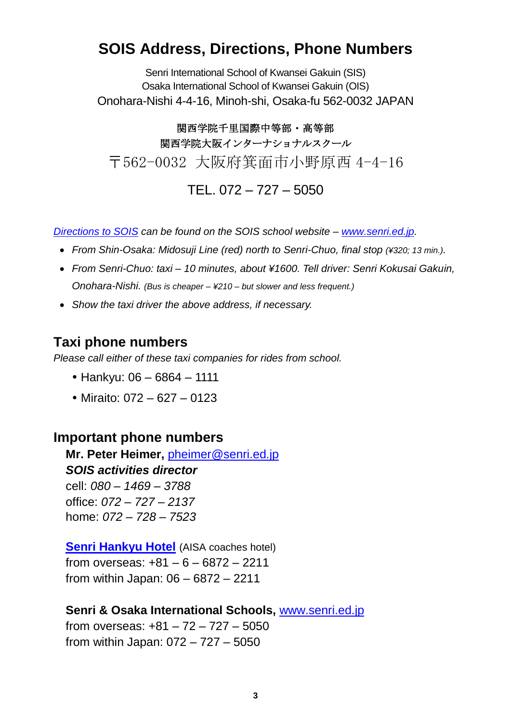## **SOIS Address, Directions, Phone Numbers**

Senri International School of Kwansei Gakuin (SIS) Osaka International School of Kwansei Gakuin (OIS) Onohara-Nishi 4-4-16, Minoh-shi, Osaka-fu 562-0032 JAPAN

関西学院千里国際中等部・高等部 関西学院大阪インターナショナルスクール 〒562-0032 大阪府箕面市小野原西 4-4-16

TEL. 072 – 727 – 5050

*[Directions to SOIS](http://www.senri.ed.jp/site/index.php?option=com_content&view=article&id=57&Itemid=278&lang=en) can be found on the SOIS school website – [www.senri.ed.jp.](http://www.senri.ed.jp/)*

- *From Shin-Osaka: Midosuji Line (red) north to Senri-Chuo, final stop (¥320; 13 min.).*
- *From Senri-Chuo: taxi – 10 minutes, about ¥1600. Tell driver: Senri Kokusai Gakuin, Onohara-Nishi. (Bus is cheaper – ¥210 – but slower and less frequent.)*
- *Show the taxi driver the above address, if necessary.*

## **Taxi phone numbers**

*Please call either of these taxi companies for rides from school.* 

- Hankyu: 06 6864 1111
- Miraito:  $072 627 0123$

## **Important phone numbers**

**Mr. Peter Heimer,** [pheimer@senri.ed.jp](mailto:pheimer@senri.ed.jp) *SOIS activities director* cell: *080 – 1469 – 3788* office: *072 – 727 – 2137* home: *072 – 728 – 7523*

**[Senri Hankyu Hotel](http://www.hankyu-hotel.com/cgi-bin2/cms2/index_en.cgi?hid=23senrihh)** (AISA coaches hotel) from overseas: +81 – 6 – 6872 – 2211 from within Japan: 06 – 6872 – 2211

### **Senri & Osaka International Schools,** [www.senri.ed.jp](http://www.senri.ed.jp/)

from overseas: +81 – 72 – 727 – 5050 from within Japan: 072 – 727 – 5050